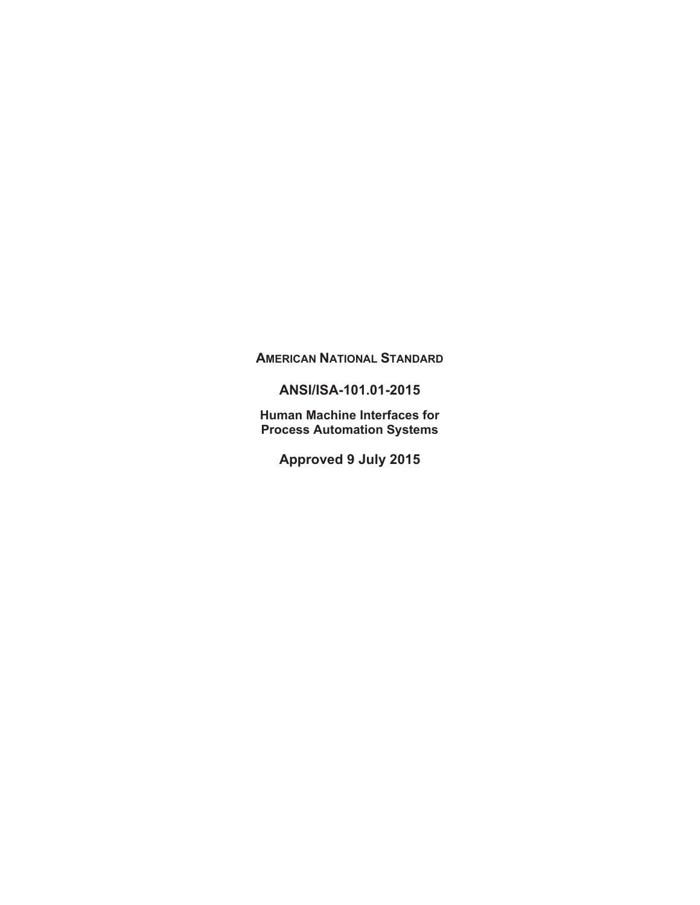# **AMERICAN NATIONAL STANDARD**

# **ANSI/ISA-101.01-2015**

**Human Machine Interfaces for Process Automation Systems** 

**Approved 9 July 2015**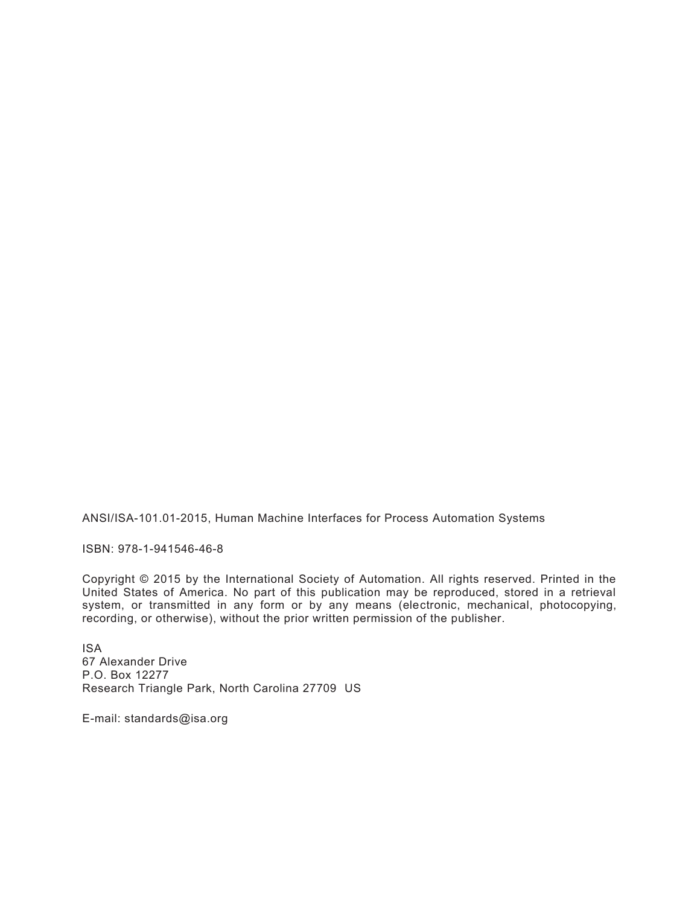ANSI/ISA-101.01-2015, Human Machine Interfaces for Process Automation Systems

ISBN: 978-1-941546-46-8

Copyright © 2015 by the International Society of Automation. All rights reserved. Printed in the United States of America. No part of this publication may be reproduced, stored in a retrieval system, or transmitted in any form or by any means (electronic, mechanical, photocopying, recording, or otherwise), without the prior written permission of the publisher.

ISA 67 Alexander Drive P.O. Box 12277 Research Triangle Park, North Carolina 27709 US

E-mail: standards@isa.org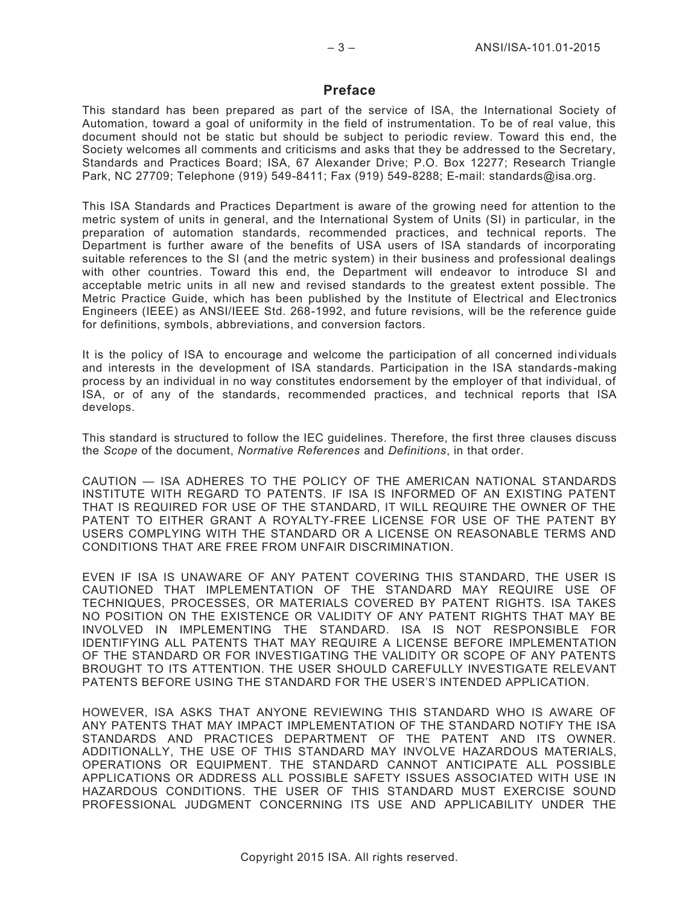## **Preface**

This standard has been prepared as part of the service of ISA, the International Society of Automation, toward a goal of uniformity in the field of instrumentation. To be of real value, this document should not be static but should be subject to periodic review. Toward this end, the Society welcomes all comments and criticisms and asks that they be addressed to the Secretary, Standards and Practices Board; ISA, 67 Alexander Drive; P.O. Box 12277; Research Triangle Park, NC 27709; Telephone (919) 549-8411; Fax (919) 549-8288; E-mail: standards@isa.org.

This ISA Standards and Practices Department is aware of the growing need for attention to the metric system of units in general, and the International System of Units (SI) in particular, in the preparation of automation standards, recommended practices, and technical reports. The Department is further aware of the benefits of USA users of ISA standards of incorporating suitable references to the SI (and the metric system) in their business and professional dealings with other countries. Toward this end, the Department will endeavor to introduce SI and acceptable metric units in all new and revised standards to the greatest extent possible. The Metric Practice Guide, which has been published by the Institute of Electrical and Electronics Engineers (IEEE) as ANSI/IEEE Std. 268-1992, and future revisions, will be the reference guide for definitions, symbols, abbreviations, and conversion factors.

It is the policy of ISA to encourage and welcome the participation of all concerned individuals and interests in the development of ISA standards. Participation in the ISA standards-making process by an individual in no way constitutes endorsement by the employer of that individual, of ISA, or of any of the standards, recommended practices, and technical reports that ISA develops.

This standard is structured to follow the IEC guidelines. Therefore, the first three clauses discuss the *Scope* of the document, *Normative References* and *Definitions*, in that order.

CAUTION — ISA ADHERES TO THE POLICY OF THE AMERICAN NATIONAL STANDARDS INSTITUTE WITH REGARD TO PATENTS. IF ISA IS INFORMED OF AN EXISTING PATENT THAT IS REQUIRED FOR USE OF THE STANDARD, IT WILL REQUIRE THE OWNER OF THE PATENT TO EITHER GRANT A ROYALTY-FREE LICENSE FOR USE OF THE PATENT BY USERS COMPLYING WITH THE STANDARD OR A LICENSE ON REASONABLE TERMS AND CONDITIONS THAT ARE FREE FROM UNFAIR DISCRIMINATION.

EVEN IF ISA IS UNAWARE OF ANY PATENT COVERING THIS STANDARD, THE USER IS CAUTIONED THAT IMPLEMENTATION OF THE STANDARD MAY REQUIRE USE OF TECHNIQUES, PROCESSES, OR MATERIALS COVERED BY PATENT RIGHTS. ISA TAKES NO POSITION ON THE EXISTENCE OR VALIDITY OF ANY PATENT RIGHTS THAT MAY BE INVOLVED IN IMPLEMENTING THE STANDARD. ISA IS NOT RESPONSIBLE FOR IDENTIFYING ALL PATENTS THAT MAY REQUIRE A LICENSE BEFORE IMPLEMENTATION OF THE STANDARD OR FOR INVESTIGATING THE VALIDITY OR SCOPE OF ANY PATENTS BROUGHT TO ITS ATTENTION. THE USER SHOULD CAREFULLY INVESTIGATE RELEVANT PATENTS BEFORE USING THE STANDARD FOR THE USER'S INTENDED APPLICATION.

HOWEVER, ISA ASKS THAT ANYONE REVIEWING THIS STANDARD WHO IS AWARE OF ANY PATENTS THAT MAY IMPACT IMPLEMENTATION OF THE STANDARD NOTIFY THE ISA STANDARDS AND PRACTICES DEPARTMENT OF THE PATENT AND ITS OWNER. ADDITIONALLY, THE USE OF THIS STANDARD MAY INVOLVE HAZARDOUS MATERIALS, OPERATIONS OR EQUIPMENT. THE STANDARD CANNOT ANTICIPATE ALL POSSIBLE APPLICATIONS OR ADDRESS ALL POSSIBLE SAFETY ISSUES ASSOCIATED WITH USE IN HAZARDOUS CONDITIONS. THE USER OF THIS STANDARD MUST EXERCISE SOUND PROFESSIONAL JUDGMENT CONCERNING ITS USE AND APPLICABILITY UNDER THE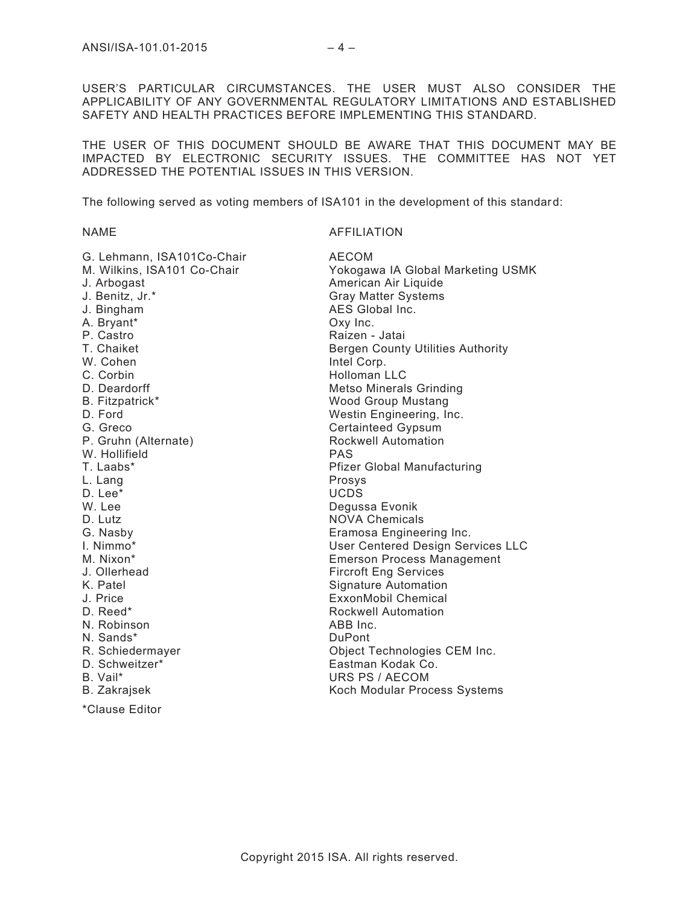USER'S PARTICULAR CIRCUMSTANCES. THE USER MUST ALSO CONSIDER THE APPLICABILITY OF ANY GOVERNMENTAL REGULATORY LIMITATIONS AND ESTABLISHED SAFETY AND HEALTH PRACTICES BEFORE IMPLEMENTING THIS STANDARD.

THE USER OF THIS DOCUMENT SHOULD BE AWARE THAT THIS DOCUMENT MAY BE IMPACTED BY ELECTRONIC SECURITY ISSUES. THE COMMITTEE HAS NOT YET ADDRESSED THE POTENTIAL ISSUES IN THIS VERSION.

The following served as voting members of ISA101 in the development of this standard:

**AFFILIATION** 

| G. Lehmann, ISA101Co-Chair  | <b>AECOM</b>                             |
|-----------------------------|------------------------------------------|
| M. Wilkins, ISA101 Co-Chair | Yokogawa IA Global Marketing USMK        |
| J. Arbogast                 | American Air Liquide                     |
| J. Benitz, Jr.*             | <b>Gray Matter Systems</b>               |
| J. Bingham                  | AES Global Inc.                          |
| A. Bryant*                  | Oxy Inc.                                 |
| P. Castro                   | Raizen - Jatai                           |
| T. Chaiket                  | <b>Bergen County Utilities Authority</b> |
| W. Cohen                    | Intel Corp.                              |
| C. Corbin                   | <b>Holloman LLC</b>                      |
| D. Deardorff                | <b>Metso Minerals Grinding</b>           |
| B. Fitzpatrick*             | <b>Wood Group Mustang</b>                |
| D. Ford                     | Westin Engineering, Inc.                 |
| G. Greco                    | <b>Certainteed Gypsum</b>                |
| P. Gruhn (Alternate)        | Rockwell Automation                      |
| W. Hollifield               | <b>PAS</b>                               |
| T. Laabs*                   | <b>Pfizer Global Manufacturing</b>       |
| L. Lang                     | Prosys                                   |
| D. Lee*                     | <b>UCDS</b>                              |
| W. Lee                      | Degussa Evonik                           |
| D. Lutz                     | <b>NOVA Chemicals</b>                    |
| G. Nasby                    | Eramosa Engineering Inc.                 |
| I. Nimmo*                   | <b>User Centered Design Services LLC</b> |
| M. Nixon*                   | <b>Emerson Process Management</b>        |
| J. Ollerhead                | <b>Fircroft Eng Services</b>             |
| K. Patel                    | <b>Signature Automation</b>              |
| J. Price                    | ExxonMobil Chemical                      |
| D. Reed*                    | Rockwell Automation                      |
| N. Robinson                 | ABB Inc.                                 |
| N. Sands*                   | <b>DuPont</b>                            |
| R. Schiedermayer            | Object Technologies CEM Inc.             |
| D. Schweitzer*              | Eastman Kodak Co.                        |
| B. Vail*                    | URS PS / AECOM                           |
| <b>B.</b> Zakrajsek         | Koch Modular Process Systems             |

\*Clause Editor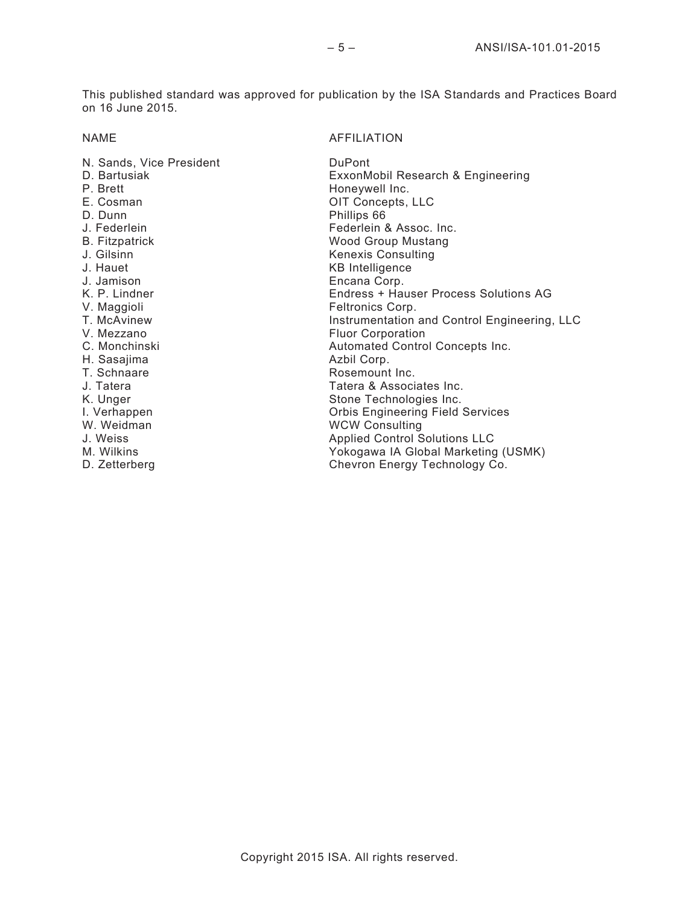This published standard was approved for publication by the ISA Standards and Practices Board on 16 June 2015.

## NAME AFFILIATION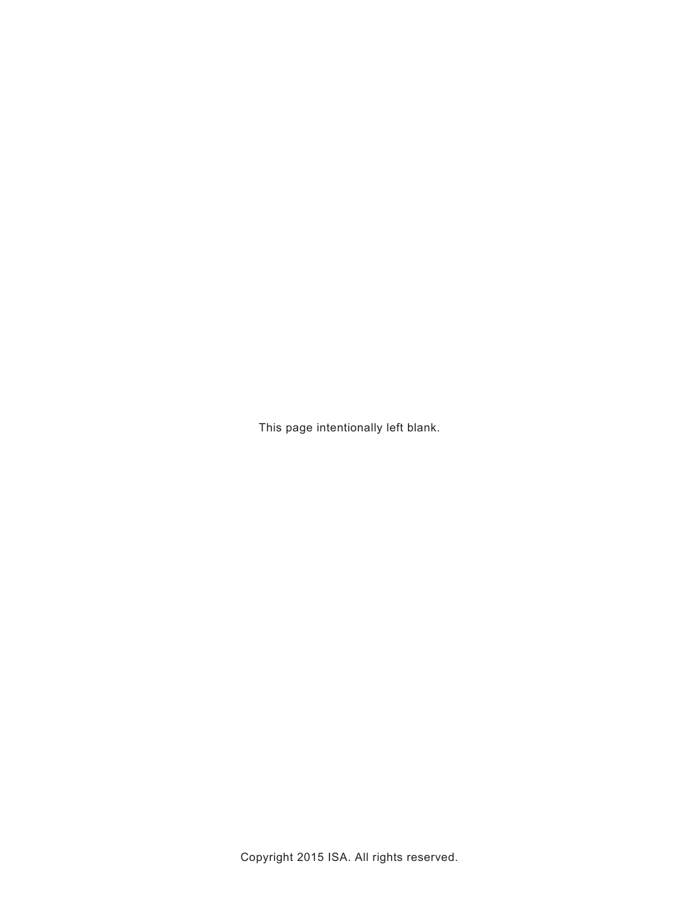This page intentionally left blank.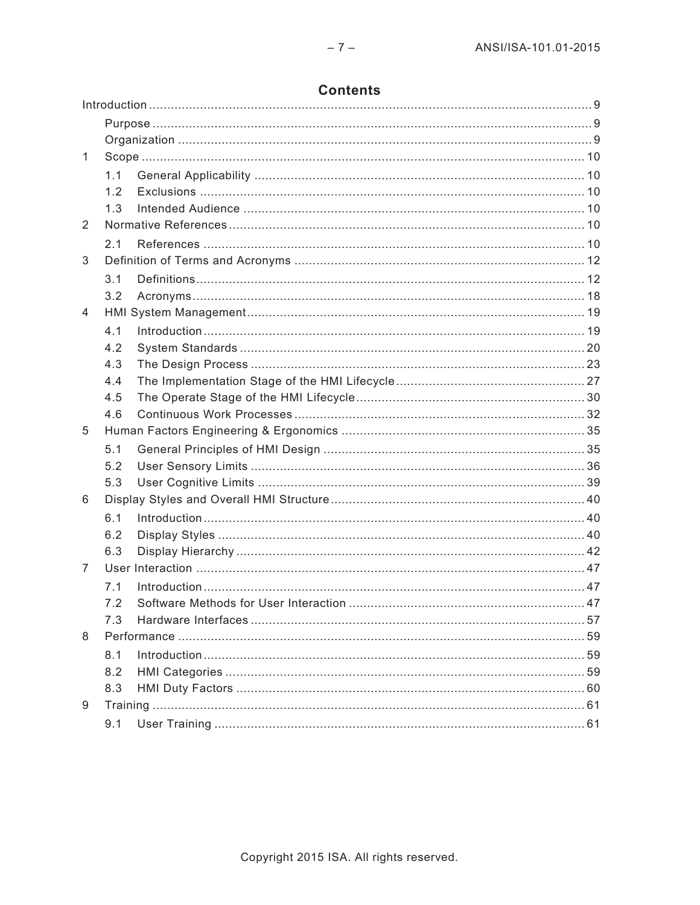|               | <b>Contents</b> |  |  |  |  |  |  |
|---------------|-----------------|--|--|--|--|--|--|
|               |                 |  |  |  |  |  |  |
|               |                 |  |  |  |  |  |  |
|               |                 |  |  |  |  |  |  |
| 1             |                 |  |  |  |  |  |  |
|               |                 |  |  |  |  |  |  |
|               | 12              |  |  |  |  |  |  |
|               |                 |  |  |  |  |  |  |
| $\mathcal{P}$ |                 |  |  |  |  |  |  |
|               |                 |  |  |  |  |  |  |

| $\mathbf{1}$ |     |                 |  |
|--------------|-----|-----------------|--|
|              | 1.1 |                 |  |
|              | 1.2 |                 |  |
|              | 1.3 |                 |  |
| 2            |     |                 |  |
|              | 2.1 |                 |  |
| 3            |     |                 |  |
|              | 3.1 |                 |  |
|              | 3.2 |                 |  |
| 4            |     |                 |  |
|              | 4.1 | Introduction 19 |  |
|              | 4.2 |                 |  |
|              | 4.3 |                 |  |
|              | 4.4 |                 |  |
|              | 4.5 |                 |  |
|              | 4.6 |                 |  |
| 5            |     |                 |  |
|              | 5.1 |                 |  |
|              | 5.2 |                 |  |
|              | 5.3 |                 |  |
| 6            |     |                 |  |
|              | 6.1 |                 |  |
|              | 6.2 |                 |  |
|              | 6.3 |                 |  |
| 7            |     |                 |  |
|              | 7.1 |                 |  |
|              | 7.2 |                 |  |
|              | 7.3 |                 |  |
| 8            |     |                 |  |
|              | 8.1 |                 |  |
|              | 8.2 |                 |  |
|              | 8.3 |                 |  |
| 9            |     |                 |  |
|              | 9.1 |                 |  |
|              |     |                 |  |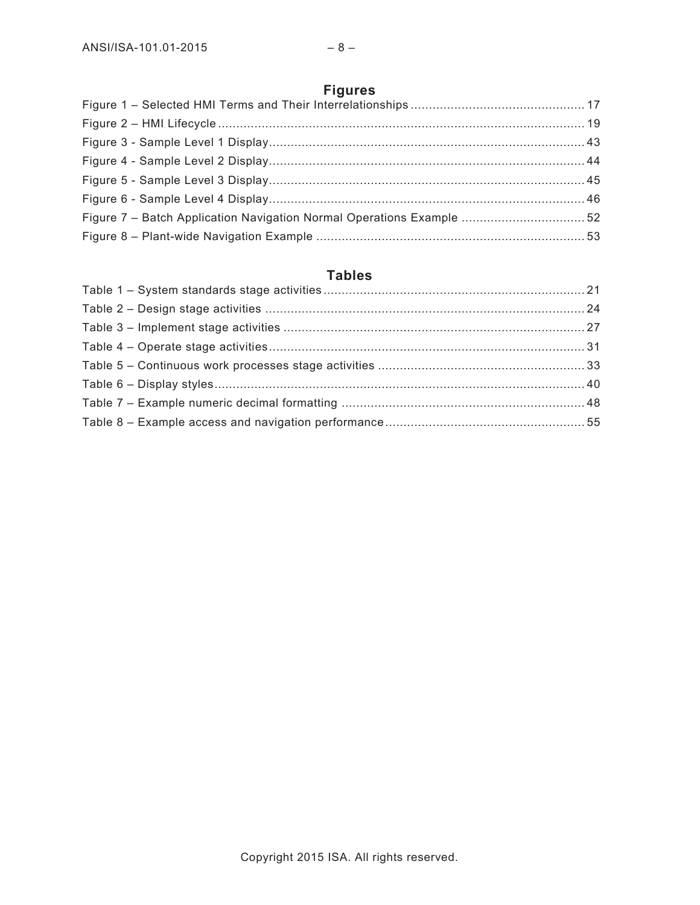# **Figures**

# **Tables**